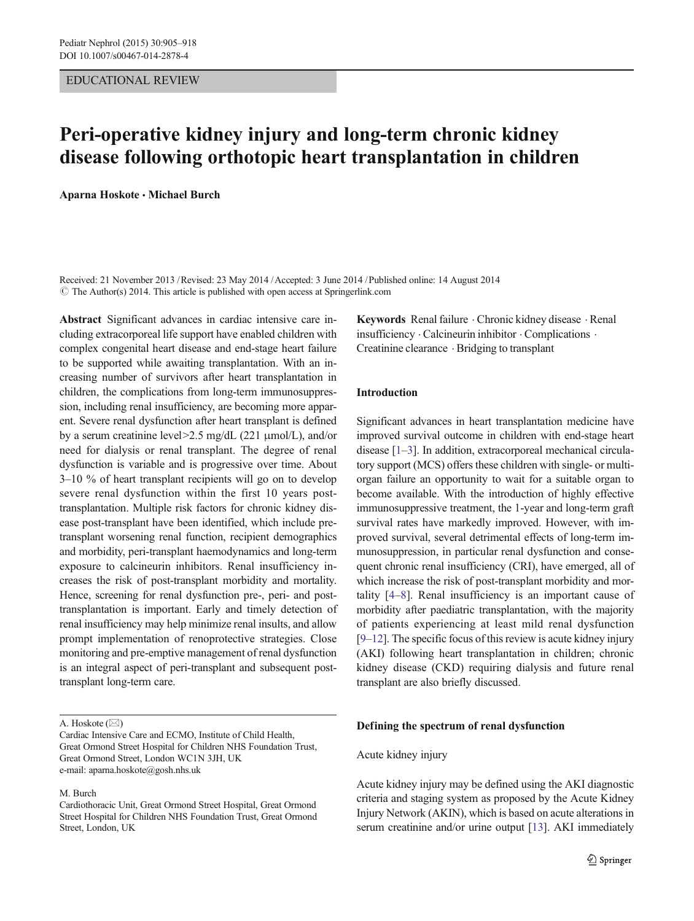### EDUCATIONAL REVIEW

# Peri-operative kidney injury and long-term chronic kidney disease following orthotopic heart transplantation in children

Aparna Hoskote · Michael Burch

Received: 21 November 2013 /Revised: 23 May 2014 /Accepted: 3 June 2014 /Published online: 14 August 2014  $\circ$  The Author(s) 2014. This article is published with open access at Springerlink.com

Abstract Significant advances in cardiac intensive care including extracorporeal life support have enabled children with complex congenital heart disease and end-stage heart failure to be supported while awaiting transplantation. With an increasing number of survivors after heart transplantation in children, the complications from long-term immunosuppression, including renal insufficiency, are becoming more apparent. Severe renal dysfunction after heart transplant is defined by a serum creatinine level>2.5 mg/dL (221 μmol/L), and/or need for dialysis or renal transplant. The degree of renal dysfunction is variable and is progressive over time. About 3–10 % of heart transplant recipients will go on to develop severe renal dysfunction within the first 10 years posttransplantation. Multiple risk factors for chronic kidney disease post-transplant have been identified, which include pretransplant worsening renal function, recipient demographics and morbidity, peri-transplant haemodynamics and long-term exposure to calcineurin inhibitors. Renal insufficiency increases the risk of post-transplant morbidity and mortality. Hence, screening for renal dysfunction pre-, peri- and posttransplantation is important. Early and timely detection of renal insufficiency may help minimize renal insults, and allow prompt implementation of renoprotective strategies. Close monitoring and pre-emptive management of renal dysfunction is an integral aspect of peri-transplant and subsequent posttransplant long-term care.

### M. Burch

Keywords Renal failure . Chronic kidney disease . Renal insufficiency . Calcineurin inhibitor . Complications . Creatinine clearance . Bridging to transplant

### Introduction

Significant advances in heart transplantation medicine have improved survival outcome in children with end-stage heart disease [[1](#page-11-0)–[3](#page-11-0)]. In addition, extracorporeal mechanical circulatory support (MCS) offers these children with single- or multiorgan failure an opportunity to wait for a suitable organ to become available. With the introduction of highly effective immunosuppressive treatment, the 1-year and long-term graft survival rates have markedly improved. However, with improved survival, several detrimental effects of long-term immunosuppression, in particular renal dysfunction and consequent chronic renal insufficiency (CRI), have emerged, all of which increase the risk of post-transplant morbidity and mortality [[4](#page-11-0)–[8\]](#page-11-0). Renal insufficiency is an important cause of morbidity after paediatric transplantation, with the majority of patients experiencing at least mild renal dysfunction [\[9](#page-11-0)–[12\]](#page-11-0). The specific focus of this review is acute kidney injury (AKI) following heart transplantation in children; chronic kidney disease (CKD) requiring dialysis and future renal transplant are also briefly discussed.

### Defining the spectrum of renal dysfunction

# Acute kidney injury

Acute kidney injury may be defined using the AKI diagnostic criteria and staging system as proposed by the Acute Kidney Injury Network (AKIN), which is based on acute alterations in serum creatinine and/or urine output [[13](#page-11-0)]. AKI immediately

A. Hoskote  $(\boxtimes)$ 

Cardiac Intensive Care and ECMO, Institute of Child Health, Great Ormond Street Hospital for Children NHS Foundation Trust, Great Ormond Street, London WC1N 3JH, UK e-mail: aparna.hoskote@gosh.nhs.uk

Cardiothoracic Unit, Great Ormond Street Hospital, Great Ormond Street Hospital for Children NHS Foundation Trust, Great Ormond Street, London, UK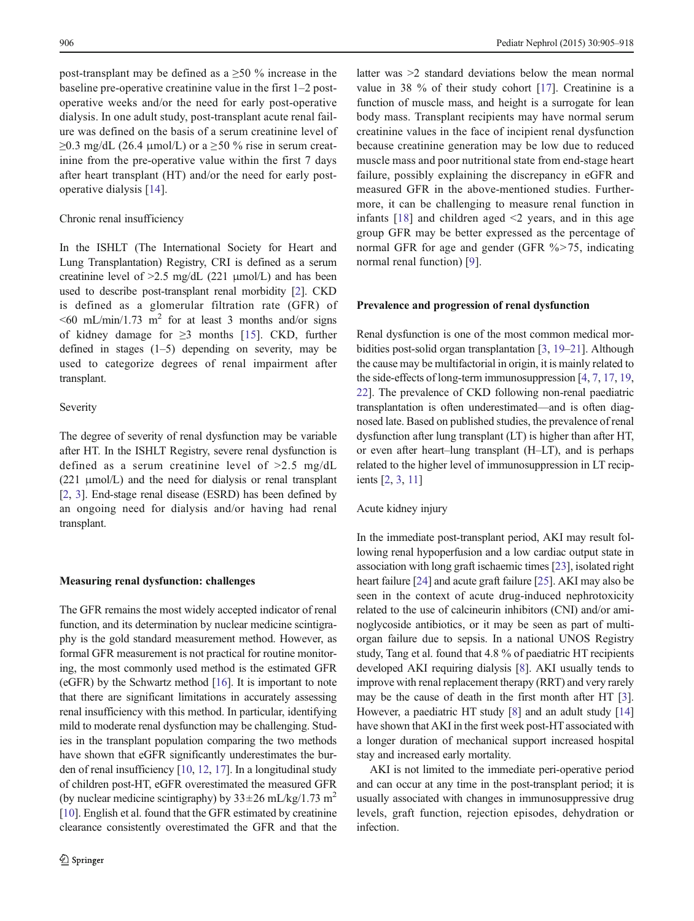post-transplant may be defined as a ≥50 % increase in the baseline pre-operative creatinine value in the first 1–2 postoperative weeks and/or the need for early post-operative dialysis. In one adult study, post-transplant acute renal failure was defined on the basis of a serum creatinine level of  $\geq$ 0.3 mg/dL (26.4 µmol/L) or a  $\geq$ 50 % rise in serum creatinine from the pre-operative value within the first 7 days after heart transplant (HT) and/or the need for early postoperative dialysis [[14](#page-11-0)].

#### Chronic renal insufficiency

In the ISHLT (The International Society for Heart and Lung Transplantation) Registry, CRI is defined as a serum creatinine level of  $>2.5$  mg/dL (221  $\mu$ mol/L) and has been used to describe post-transplant renal morbidity [\[2](#page-11-0)]. CKD is defined as a glomerular filtration rate (GFR) of  $\leq 60$  mL/min/1.73 m<sup>2</sup> for at least 3 months and/or signs of kidney damage for  $\geq$ 3 months [[15](#page-11-0)]. CKD, further defined in stages  $(1-5)$  depending on severity, may be used to categorize degrees of renal impairment after transplant.

### Severity

The degree of severity of renal dysfunction may be variable after HT. In the ISHLT Registry, severe renal dysfunction is defined as a serum creatinine level of >2.5 mg/dL (221 μmol/L) and the need for dialysis or renal transplant [\[2](#page-11-0), [3\]](#page-11-0). End-stage renal disease (ESRD) has been defined by an ongoing need for dialysis and/or having had renal transplant.

#### Measuring renal dysfunction: challenges

The GFR remains the most widely accepted indicator of renal function, and its determination by nuclear medicine scintigraphy is the gold standard measurement method. However, as formal GFR measurement is not practical for routine monitoring, the most commonly used method is the estimated GFR (eGFR) by the Schwartz method [\[16\]](#page-11-0). It is important to note that there are significant limitations in accurately assessing renal insufficiency with this method. In particular, identifying mild to moderate renal dysfunction may be challenging. Studies in the transplant population comparing the two methods have shown that eGFR significantly underestimates the burden of renal insufficiency [\[10,](#page-11-0) [12](#page-11-0), [17](#page-11-0)]. In a longitudinal study of children post-HT, eGFR overestimated the measured GFR (by nuclear medicine scintigraphy) by  $33 \pm 26$  mL/kg/1.73 m<sup>2</sup> [\[10\]](#page-11-0). English et al. found that the GFR estimated by creatinine clearance consistently overestimated the GFR and that the

latter was >2 standard deviations below the mean normal value in 38 % of their study cohort [[17\]](#page-11-0). Creatinine is a function of muscle mass, and height is a surrogate for lean body mass. Transplant recipients may have normal serum creatinine values in the face of incipient renal dysfunction because creatinine generation may be low due to reduced muscle mass and poor nutritional state from end-stage heart failure, possibly explaining the discrepancy in eGFR and measured GFR in the above-mentioned studies. Furthermore, it can be challenging to measure renal function in infants  $[18]$  $[18]$  and children aged  $\leq$  years, and in this age group GFR may be better expressed as the percentage of normal GFR for age and gender (GFR %>75, indicating normal renal function) [[9\]](#page-11-0).

### Prevalence and progression of renal dysfunction

Renal dysfunction is one of the most common medical morbidities post-solid organ transplantation [\[3,](#page-11-0) [19](#page-11-0)–[21](#page-11-0)]. Although the cause may be multifactorial in origin, it is mainly related to the side-effects of long-term immunosuppression [\[4](#page-11-0), [7](#page-11-0), [17,](#page-11-0) [19,](#page-11-0) [22\]](#page-11-0). The prevalence of CKD following non-renal paediatric transplantation is often underestimated—and is often diagnosed late. Based on published studies, the prevalence of renal dysfunction after lung transplant (LT) is higher than after HT, or even after heart–lung transplant (H–LT), and is perhaps related to the higher level of immunosuppression in LT recipients [\[2,](#page-11-0) [3,](#page-11-0) [11](#page-11-0)]

### Acute kidney injury

In the immediate post-transplant period, AKI may result following renal hypoperfusion and a low cardiac output state in association with long graft ischaemic times [[23](#page-11-0)], isolated right heart failure [[24](#page-11-0)] and acute graft failure [[25](#page-11-0)]. AKI may also be seen in the context of acute drug-induced nephrotoxicity related to the use of calcineurin inhibitors (CNI) and/or aminoglycoside antibiotics, or it may be seen as part of multiorgan failure due to sepsis. In a national UNOS Registry study, Tang et al. found that 4.8 % of paediatric HT recipients developed AKI requiring dialysis [[8\]](#page-11-0). AKI usually tends to improve with renal replacement therapy (RRT) and very rarely may be the cause of death in the first month after HT [[3\]](#page-11-0). However, a paediatric HT study [\[8](#page-11-0)] and an adult study [\[14](#page-11-0)] have shown that AKI in the first week post-HT associated with a longer duration of mechanical support increased hospital stay and increased early mortality.

AKI is not limited to the immediate peri-operative period and can occur at any time in the post-transplant period; it is usually associated with changes in immunosuppressive drug levels, graft function, rejection episodes, dehydration or infection.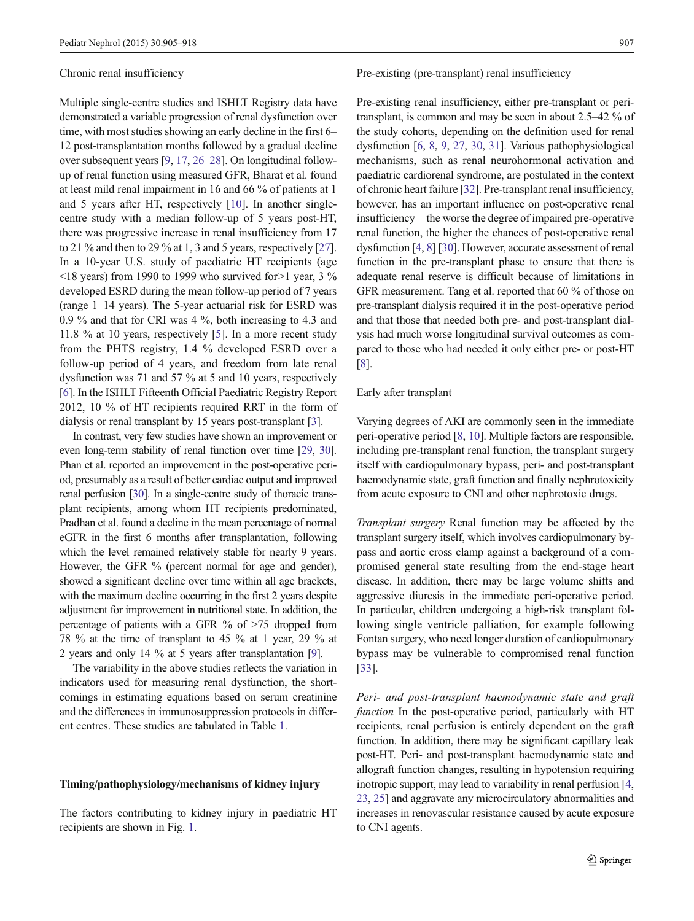#### Chronic renal insufficiency

Multiple single-centre studies and ISHLT Registry data have demonstrated a variable progression of renal dysfunction over time, with most studies showing an early decline in the first 6– 12 post-transplantation months followed by a gradual decline over subsequent years [\[9](#page-11-0), [17,](#page-11-0) [26](#page-11-0)–[28\]](#page-12-0). On longitudinal followup of renal function using measured GFR, Bharat et al. found at least mild renal impairment in 16 and 66 % of patients at 1 and 5 years after HT, respectively [[10](#page-11-0)]. In another singlecentre study with a median follow-up of 5 years post-HT, there was progressive increase in renal insufficiency from 17 to 21 % and then to 29 % at 1, 3 and 5 years, respectively [[27\]](#page-12-0). In a 10-year U.S. study of paediatric HT recipients (age  $\le$ 18 years) from 1990 to 1999 who survived for  $>$ 1 year, 3 % developed ESRD during the mean follow-up period of 7 years (range 1–14 years). The 5-year actuarial risk for ESRD was 0.9 % and that for CRI was 4 %, both increasing to 4.3 and 11.8 % at 10 years, respectively [\[5\]](#page-11-0). In a more recent study from the PHTS registry, 1.4 % developed ESRD over a follow-up period of 4 years, and freedom from late renal dysfunction was 71 and 57 % at 5 and 10 years, respectively [\[6](#page-11-0)]. In the ISHLT Fifteenth Official Paediatric Registry Report 2012, 10 % of HT recipients required RRT in the form of dialysis or renal transplant by 15 years post-transplant [\[3](#page-11-0)].

In contrast, very few studies have shown an improvement or even long-term stability of renal function over time [[29](#page-12-0), [30\]](#page-12-0). Phan et al. reported an improvement in the post-operative period, presumably as a result of better cardiac output and improved renal perfusion [\[30](#page-12-0)]. In a single-centre study of thoracic transplant recipients, among whom HT recipients predominated, Pradhan et al. found a decline in the mean percentage of normal eGFR in the first 6 months after transplantation, following which the level remained relatively stable for nearly 9 years. However, the GFR % (percent normal for age and gender), showed a significant decline over time within all age brackets, with the maximum decline occurring in the first 2 years despite adjustment for improvement in nutritional state. In addition, the percentage of patients with a GFR  $\%$  of  $\geq 75$  dropped from 78 % at the time of transplant to 45 % at 1 year, 29 % at 2 years and only 14 % at 5 years after transplantation [\[9\]](#page-11-0).

The variability in the above studies reflects the variation in indicators used for measuring renal dysfunction, the shortcomings in estimating equations based on serum creatinine and the differences in immunosuppression protocols in different centres. These studies are tabulated in Table [1](#page-3-0).

### Timing/pathophysiology/mechanisms of kidney injury

The factors contributing to kidney injury in paediatric HT recipients are shown in Fig. [1.](#page-4-0)

### Pre-existing (pre-transplant) renal insufficiency

Pre-existing renal insufficiency, either pre-transplant or peritransplant, is common and may be seen in about 2.5–42 % of the study cohorts, depending on the definition used for renal dysfunction [\[6,](#page-11-0) [8](#page-11-0), [9,](#page-11-0) [27,](#page-12-0) [30](#page-12-0), [31](#page-12-0)]. Various pathophysiological mechanisms, such as renal neurohormonal activation and paediatric cardiorenal syndrome, are postulated in the context of chronic heart failure [\[32\]](#page-12-0). Pre-transplant renal insufficiency, however, has an important influence on post-operative renal insufficiency—the worse the degree of impaired pre-operative renal function, the higher the chances of post-operative renal dysfunction [\[4,](#page-11-0) [8](#page-11-0)] [\[30](#page-12-0)]. However, accurate assessment of renal function in the pre-transplant phase to ensure that there is adequate renal reserve is difficult because of limitations in GFR measurement. Tang et al. reported that 60 % of those on pre-transplant dialysis required it in the post-operative period and that those that needed both pre- and post-transplant dialysis had much worse longitudinal survival outcomes as compared to those who had needed it only either pre- or post-HT [\[8](#page-11-0)].

### Early after transplant

Varying degrees of AKI are commonly seen in the immediate peri-operative period [\[8](#page-11-0), [10\]](#page-11-0). Multiple factors are responsible, including pre-transplant renal function, the transplant surgery itself with cardiopulmonary bypass, peri- and post-transplant haemodynamic state, graft function and finally nephrotoxicity from acute exposure to CNI and other nephrotoxic drugs.

Transplant surgery Renal function may be affected by the transplant surgery itself, which involves cardiopulmonary bypass and aortic cross clamp against a background of a compromised general state resulting from the end-stage heart disease. In addition, there may be large volume shifts and aggressive diuresis in the immediate peri-operative period. In particular, children undergoing a high-risk transplant following single ventricle palliation, for example following Fontan surgery, who need longer duration of cardiopulmonary bypass may be vulnerable to compromised renal function [\[33](#page-12-0)].

Peri- and post-transplant haemodynamic state and graft function In the post-operative period, particularly with HT recipients, renal perfusion is entirely dependent on the graft function. In addition, there may be significant capillary leak post-HT. Peri- and post-transplant haemodynamic state and allograft function changes, resulting in hypotension requiring inotropic support, may lead to variability in renal perfusion [[4,](#page-11-0) [23,](#page-11-0) [25\]](#page-11-0) and aggravate any microcirculatory abnormalities and increases in renovascular resistance caused by acute exposure to CNI agents.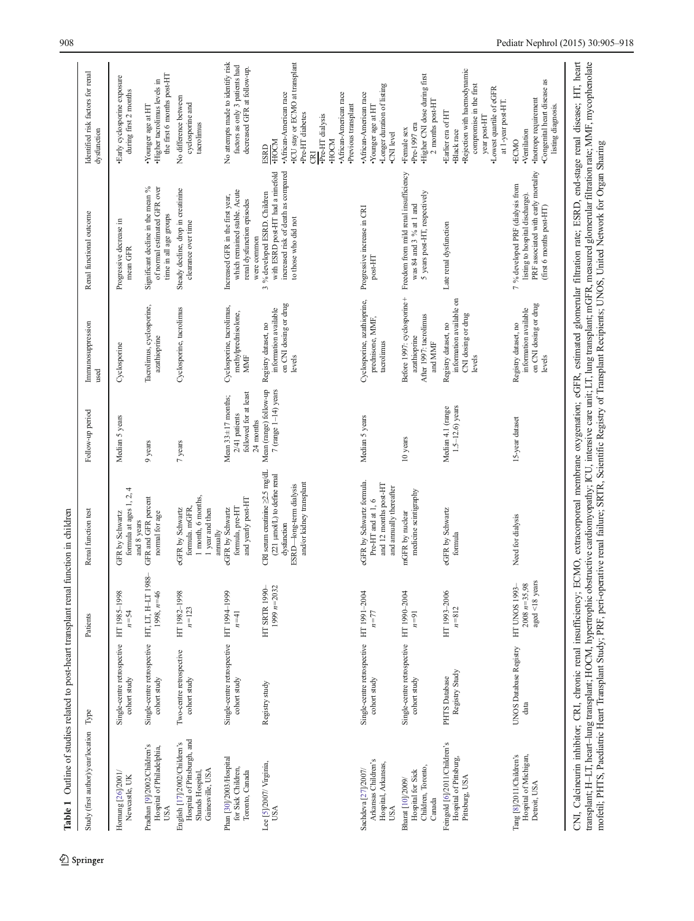<span id="page-3-0"></span>

| Study (first author)/year/location                                                                  | Type                                                         | Patients                                                   | Renal function test                                                                                                                         | Follow-up period                                                                | Immunosuppression<br>used                                                        | Renal functional outcome                                                                                                               | Identified risk factors for renal<br>dysfunction                                                                                                                                               |
|-----------------------------------------------------------------------------------------------------|--------------------------------------------------------------|------------------------------------------------------------|---------------------------------------------------------------------------------------------------------------------------------------------|---------------------------------------------------------------------------------|----------------------------------------------------------------------------------|----------------------------------------------------------------------------------------------------------------------------------------|------------------------------------------------------------------------------------------------------------------------------------------------------------------------------------------------|
| Hornung [26]/2001/<br>Newcastle, UK                                                                 | Single-centre retrospective HT 1985-1998<br>cohort study     | $n = 54$                                                   | formula at ages 1, 2, 4<br>GFR by Schwartz<br>and 8 years                                                                                   | Median 5 years                                                                  | Cyclosporine                                                                     | Progressive decrease in<br>mean GFR                                                                                                    | ·Early cyclosporine exposure<br>during first 2 months                                                                                                                                          |
| Pradhan [9]/2002/Children's<br>Hospital of Philadelphia,<br>USA                                     | Single-centre retrospective HT, LT, H-LT 198<br>cohort study | op<br>$1998, n=46$                                         | GFR and GFR percent<br>normal for age                                                                                                       | 9 years                                                                         | Tacrolimus, cyclosporine,<br>azathioprine                                        | Significant decline in the mean %<br>of normal estimated GFR over<br>time in all age groups                                            | the first 6 months post-HT<br>·Higher tacrolimus levels in<br>•Younger age at HT                                                                                                               |
| Hospital of Pittsburgh, and<br>English [17]/2002/Children's<br>Gainesville, USA<br>Shands Hospital, | Two-centre retrospective<br>cohort study                     | HT 1982-1998<br>$n = 123$                                  | 1 month, 6 months,<br>formula. mGFR,<br>eGFR by Schwartz<br>1 year and then<br>annually                                                     | $7$ years                                                                       | Cyclosporine, tacrolimus                                                         | Steady decline, drop in creatinine<br>clearance over time                                                                              | No difference between<br>cyclosporine and<br>tacrolimus                                                                                                                                        |
| Phan [30]/2003/Hospital<br>for Sick Children,<br>Toronto, Canada                                    | Single-centre retrospective HT 1994-1999<br>cohort study     | $n=41$                                                     | and yearly post-HT<br>eGFR by Schwartz<br>formula, pre-HT                                                                                   | followed for at least<br>Mean $33 \pm 17$ months;<br>2/41 patients<br>24 months | Cyclosporine, tacrolimus,<br>methylprednisolone,<br>MMF                          | which remained stable. Acute<br>Increased GFR in the first year,<br>renal dysfunction episodes<br>were common                          | No attempts made to identify risk<br>factors as only 3 patients had<br>decreased GFR at follow-up.                                                                                             |
| Lee [5]/2007/ Virginia,<br><b>USA</b>                                                               | Registry study                                               | 1999 $n=2032$<br>HT SRTR 1990-                             | CRI serum creatinine $\geq 2.5$ mg/dL<br>(221 µmol/L) to define renal<br>and/or kidney transplant<br>ESRD-long-term dialysis<br>dysfunction | Mean (range) follow-up<br>$7$ (range 1-14) years                                | on CNI dosing or drug<br>information available<br>Registry dataset, no<br>levels | increased risk of death as compared<br>with ESRD post-HT had a ninefold<br>3 % developed ESRD. Children<br>to those who did not        | •ICU stay or ECMO at transplant<br>·African-American race<br>•African-American race<br>·Previous transplant<br>·Pre-HT diabetes<br>•Pre-HT dialysis<br><b>MOOH</b><br><b>ESPE</b><br>FOCM<br>E |
| Arkansas Children's<br>Hospital, Arkansas,<br>Sachdeva [27]/2007/<br>USA                            | Single-centre retrospective HT 1991-2004<br>cohort study     | $n = 77$                                                   | eGFR by Schwartz formula.<br>and 12 months post-HT<br>and amually thereafter<br>Pre-HT and at 1, $6\,$                                      | Median 5 years                                                                  | Cyclosporine, azathioprine,<br>prednisone, MMF,<br>tacrolimus                    | Progressive increase in CRI<br>$\rm post\text{-}HT$                                                                                    | ·Longer duration of listing<br>African-American race<br>•Younger age at HT<br><b>CNI</b> level                                                                                                 |
| Children, Toronto,<br>Hospital for Sick<br>Bharat [10]/2009/<br>Canada                              | Single-centre retrospective HT 1990-2004<br>cohort study     | $n=91$                                                     | medicine scintigraphy<br>mGFR by nuclear                                                                                                    | $10\ \mathrm{years}$                                                            | Before 1997: cyclosporine+<br>After 1997: tacrolimus<br>azathioprine<br>and MMF  | Freedom from mild renal insufficiency<br>5 years post-HT, respectively<br>was 84 and 3 % at 1 and                                      | ·Higher CNI dose during first<br>2 months post-HT<br>$-Pre-1997$ era<br>•Female sex                                                                                                            |
| Feingold [6]/2011/Children's<br>Hospital of Pittsburg,<br>Pittsburg, USA                            | Registry Study<br>PHTS Database                              | HT 1993-2006<br>$n = 812$                                  | eGFR by Schwartz<br>formula                                                                                                                 | $1.5 - 12.6$ ) years<br>Median 4.1 (range                                       | information available on<br>CNI dosing or drug<br>Registry dataset, no<br>levels | Late renal dysfunction                                                                                                                 | ·Rejection with haemodynamic<br>compromise in the first<br>•Lowest quartile of eGFR<br>at 1-year post-HT.<br>·Earlier era of HT<br>year post-HT<br>·Black race                                 |
| Hospital of Michigan,<br>Tang [8]/2011/Children's<br>Detroit, USA                                   | UNOS Database Registry<br>data                               | aged <18 years<br>$2008 n = 35,98$<br><b>HT UNOS 1993-</b> | Need for dialysis                                                                                                                           | 15-year dataset                                                                 | on CNI dosing or drug<br>information available<br>Registry dataset, no<br>levels | PRF associated with early mortality<br>7 % developed PRF (dialysis from<br>listing to hospital discharge).<br>(first 6 months post-HT) | ·Congenital heart disease as<br>·Inotrope requirement<br>listing diagnosis.<br>·Ventilation<br>·ECMO                                                                                           |

<sup>2</sup> Springer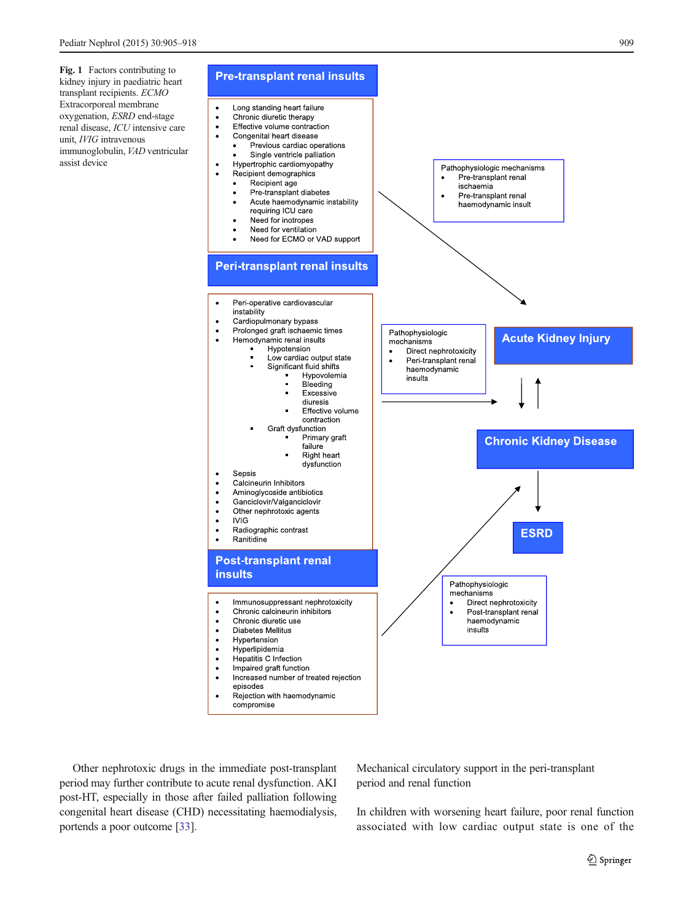<span id="page-4-0"></span>Fig. 1 Factors contributing to kidney injury in paediatric heart transplant recipients. ECMO Extracorporeal membrane oxygenation, ESRD end-stage renal disease, ICU intensive care unit, IVIG intravenous immunoglobulin, VAD ventricular assist device



Other nephrotoxic drugs in the immediate post-transplant period may further contribute to acute renal dysfunction. AKI post-HT, especially in those after failed palliation following congenital heart disease (CHD) necessitating haemodialysis, portends a poor outcome [[33](#page-12-0)].

Mechanical circulatory support in the peri-transplant period and renal function

In children with worsening heart failure, poor renal function associated with low cardiac output state is one of the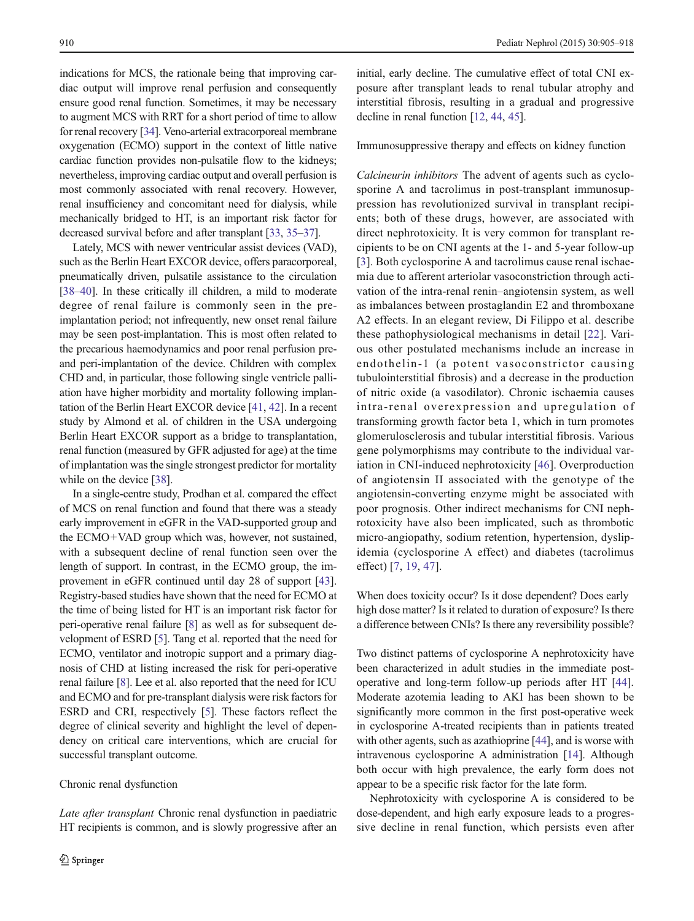indications for MCS, the rationale being that improving cardiac output will improve renal perfusion and consequently ensure good renal function. Sometimes, it may be necessary to augment MCS with RRT for a short period of time to allow for renal recovery [\[34\]](#page-12-0). Veno-arterial extracorporeal membrane oxygenation (ECMO) support in the context of little native cardiac function provides non-pulsatile flow to the kidneys; nevertheless, improving cardiac output and overall perfusion is most commonly associated with renal recovery. However, renal insufficiency and concomitant need for dialysis, while mechanically bridged to HT, is an important risk factor for decreased survival before and after transplant [\[33,](#page-12-0) [35](#page-12-0)–[37](#page-12-0)].

Lately, MCS with newer ventricular assist devices (VAD), such as the Berlin Heart EXCOR device, offers paracorporeal, pneumatically driven, pulsatile assistance to the circulation [\[38](#page-12-0)–[40\]](#page-12-0). In these critically ill children, a mild to moderate degree of renal failure is commonly seen in the preimplantation period; not infrequently, new onset renal failure may be seen post-implantation. This is most often related to the precarious haemodynamics and poor renal perfusion preand peri-implantation of the device. Children with complex CHD and, in particular, those following single ventricle palliation have higher morbidity and mortality following implantation of the Berlin Heart EXCOR device [\[41](#page-12-0), [42\]](#page-12-0). In a recent study by Almond et al. of children in the USA undergoing Berlin Heart EXCOR support as a bridge to transplantation, renal function (measured by GFR adjusted for age) at the time of implantation was the single strongest predictor for mortality while on the device [\[38\]](#page-12-0).

In a single-centre study, Prodhan et al. compared the effect of MCS on renal function and found that there was a steady early improvement in eGFR in the VAD-supported group and the ECMO+VAD group which was, however, not sustained, with a subsequent decline of renal function seen over the length of support. In contrast, in the ECMO group, the improvement in eGFR continued until day 28 of support [[43\]](#page-12-0). Registry-based studies have shown that the need for ECMO at the time of being listed for HT is an important risk factor for peri-operative renal failure [\[8\]](#page-11-0) as well as for subsequent development of ESRD [\[5](#page-11-0)]. Tang et al. reported that the need for ECMO, ventilator and inotropic support and a primary diagnosis of CHD at listing increased the risk for peri-operative renal failure [\[8](#page-11-0)]. Lee et al. also reported that the need for ICU and ECMO and for pre-transplant dialysis were risk factors for ESRD and CRI, respectively [[5\]](#page-11-0). These factors reflect the degree of clinical severity and highlight the level of dependency on critical care interventions, which are crucial for successful transplant outcome.

# Chronic renal dysfunction

Late after transplant Chronic renal dysfunction in paediatric HT recipients is common, and is slowly progressive after an

initial, early decline. The cumulative effect of total CNI exposure after transplant leads to renal tubular atrophy and interstitial fibrosis, resulting in a gradual and progressive decline in renal function [[12](#page-11-0), [44](#page-12-0), [45](#page-12-0)].

### Immunosuppressive therapy and effects on kidney function

Calcineurin inhibitors The advent of agents such as cyclosporine A and tacrolimus in post-transplant immunosuppression has revolutionized survival in transplant recipients; both of these drugs, however, are associated with direct nephrotoxicity. It is very common for transplant recipients to be on CNI agents at the 1- and 5-year follow-up [\[3\]](#page-11-0). Both cyclosporine A and tacrolimus cause renal ischaemia due to afferent arteriolar vasoconstriction through activation of the intra-renal renin–angiotensin system, as well as imbalances between prostaglandin E2 and thromboxane A2 effects. In an elegant review, Di Filippo et al. describe these pathophysiological mechanisms in detail [[22\]](#page-11-0). Various other postulated mechanisms include an increase in endothelin-1 (a potent vasoconstrictor causing tubulointerstitial fibrosis) and a decrease in the production of nitric oxide (a vasodilator). Chronic ischaemia causes intra-renal overexpression and upregulation of transforming growth factor beta 1, which in turn promotes glomerulosclerosis and tubular interstitial fibrosis. Various gene polymorphisms may contribute to the individual variation in CNI-induced nephrotoxicity [[46\]](#page-12-0). Overproduction of angiotensin II associated with the genotype of the angiotensin-converting enzyme might be associated with poor prognosis. Other indirect mechanisms for CNI nephrotoxicity have also been implicated, such as thrombotic micro-angiopathy, sodium retention, hypertension, dyslipidemia (cyclosporine A effect) and diabetes (tacrolimus effect) [[7](#page-11-0), [19](#page-11-0), [47\]](#page-12-0).

When does toxicity occur? Is it dose dependent? Does early high dose matter? Is it related to duration of exposure? Is there a difference between CNIs? Is there any reversibility possible?

Two distinct patterns of cyclosporine A nephrotoxicity have been characterized in adult studies in the immediate postoperative and long-term follow-up periods after HT [[44\]](#page-12-0). Moderate azotemia leading to AKI has been shown to be significantly more common in the first post-operative week in cyclosporine A-treated recipients than in patients treated with other agents, such as azathioprine [[44](#page-12-0)], and is worse with intravenous cyclosporine A administration [[14\]](#page-11-0). Although both occur with high prevalence, the early form does not appear to be a specific risk factor for the late form.

Nephrotoxicity with cyclosporine A is considered to be dose-dependent, and high early exposure leads to a progressive decline in renal function, which persists even after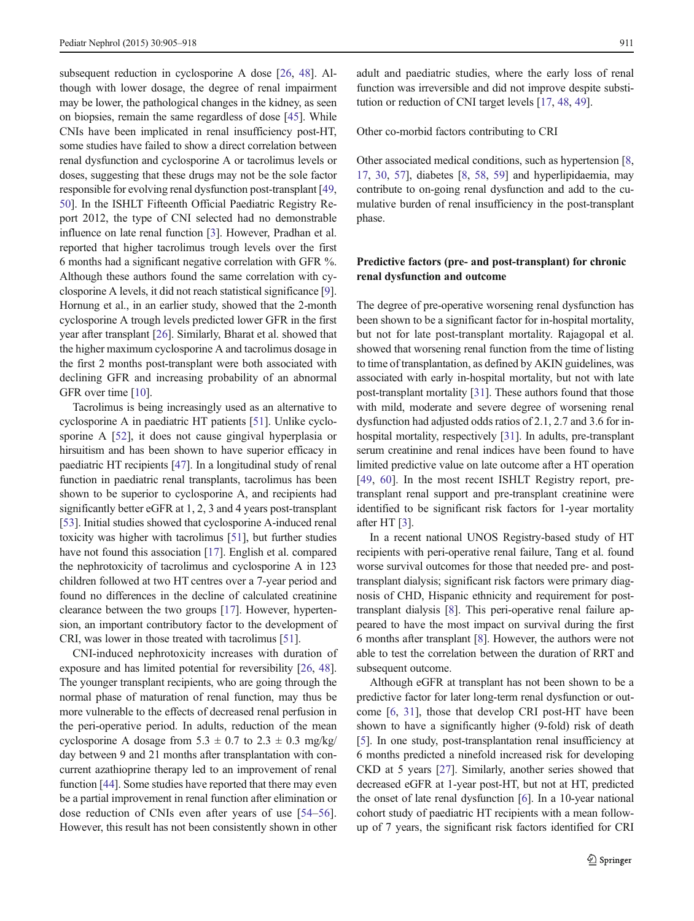subsequent reduction in cyclosporine A dose [\[26](#page-11-0), [48\]](#page-12-0). Although with lower dosage, the degree of renal impairment may be lower, the pathological changes in the kidney, as seen on biopsies, remain the same regardless of dose [[45\]](#page-12-0). While CNIs have been implicated in renal insufficiency post-HT, some studies have failed to show a direct correlation between renal dysfunction and cyclosporine A or tacrolimus levels or doses, suggesting that these drugs may not be the sole factor responsible for evolving renal dysfunction post-transplant [[49,](#page-12-0) [50\]](#page-12-0). In the ISHLT Fifteenth Official Paediatric Registry Report 2012, the type of CNI selected had no demonstrable influence on late renal function [[3](#page-11-0)]. However, Pradhan et al. reported that higher tacrolimus trough levels over the first 6 months had a significant negative correlation with GFR %. Although these authors found the same correlation with cyclosporine A levels, it did not reach statistical significance [[9\]](#page-11-0). Hornung et al., in an earlier study, showed that the 2-month cyclosporine A trough levels predicted lower GFR in the first year after transplant [\[26\]](#page-11-0). Similarly, Bharat et al. showed that the higher maximum cyclosporine A and tacrolimus dosage in the first 2 months post-transplant were both associated with declining GFR and increasing probability of an abnormal GFR over time [\[10](#page-11-0)].

Tacrolimus is being increasingly used as an alternative to cyclosporine A in paediatric HT patients [\[51](#page-12-0)]. Unlike cyclosporine A [\[52](#page-12-0)], it does not cause gingival hyperplasia or hirsuitism and has been shown to have superior efficacy in paediatric HT recipients [\[47\]](#page-12-0). In a longitudinal study of renal function in paediatric renal transplants, tacrolimus has been shown to be superior to cyclosporine A, and recipients had significantly better eGFR at 1, 2, 3 and 4 years post-transplant [\[53\]](#page-12-0). Initial studies showed that cyclosporine A-induced renal toxicity was higher with tacrolimus [\[51](#page-12-0)], but further studies have not found this association [\[17](#page-11-0)]. English et al. compared the nephrotoxicity of tacrolimus and cyclosporine A in 123 children followed at two HT centres over a 7-year period and found no differences in the decline of calculated creatinine clearance between the two groups [\[17](#page-11-0)]. However, hypertension, an important contributory factor to the development of CRI, was lower in those treated with tacrolimus [\[51\]](#page-12-0).

CNI-induced nephrotoxicity increases with duration of exposure and has limited potential for reversibility [\[26,](#page-11-0) [48\]](#page-12-0). The younger transplant recipients, who are going through the normal phase of maturation of renal function, may thus be more vulnerable to the effects of decreased renal perfusion in the peri-operative period. In adults, reduction of the mean cyclosporine A dosage from  $5.3 \pm 0.7$  to  $2.3 \pm 0.3$  mg/kg/ day between 9 and 21 months after transplantation with concurrent azathioprine therapy led to an improvement of renal function [\[44](#page-12-0)]. Some studies have reported that there may even be a partial improvement in renal function after elimination or dose reduction of CNIs even after years of use [\[54](#page-12-0)–[56](#page-12-0)]. However, this result has not been consistently shown in other

adult and paediatric studies, where the early loss of renal function was irreversible and did not improve despite substitution or reduction of CNI target levels [[17,](#page-11-0) [48](#page-12-0), [49](#page-12-0)].

Other co-morbid factors contributing to CRI

Other associated medical conditions, such as hypertension [[8,](#page-11-0) [17,](#page-11-0) [30](#page-12-0), [57](#page-12-0)], diabetes [\[8](#page-11-0), [58](#page-12-0), [59](#page-12-0)] and hyperlipidaemia, may contribute to on-going renal dysfunction and add to the cumulative burden of renal insufficiency in the post-transplant phase.

# Predictive factors (pre- and post-transplant) for chronic renal dysfunction and outcome

The degree of pre-operative worsening renal dysfunction has been shown to be a significant factor for in-hospital mortality, but not for late post-transplant mortality. Rajagopal et al. showed that worsening renal function from the time of listing to time of transplantation, as defined by AKIN guidelines, was associated with early in-hospital mortality, but not with late post-transplant mortality [[31\]](#page-12-0). These authors found that those with mild, moderate and severe degree of worsening renal dysfunction had adjusted odds ratios of 2.1, 2.7 and 3.6 for inhospital mortality, respectively [[31](#page-12-0)]. In adults, pre-transplant serum creatinine and renal indices have been found to have limited predictive value on late outcome after a HT operation [\[49](#page-12-0), [60](#page-13-0)]. In the most recent ISHLT Registry report, pretransplant renal support and pre-transplant creatinine were identified to be significant risk factors for 1-year mortality after HT [\[3\]](#page-11-0).

In a recent national UNOS Registry-based study of HT recipients with peri-operative renal failure, Tang et al. found worse survival outcomes for those that needed pre- and posttransplant dialysis; significant risk factors were primary diagnosis of CHD, Hispanic ethnicity and requirement for posttransplant dialysis [\[8\]](#page-11-0). This peri-operative renal failure appeared to have the most impact on survival during the first 6 months after transplant [\[8\]](#page-11-0). However, the authors were not able to test the correlation between the duration of RRT and subsequent outcome.

Although eGFR at transplant has not been shown to be a predictive factor for later long-term renal dysfunction or outcome [[6,](#page-11-0) [31](#page-12-0)], those that develop CRI post-HT have been shown to have a significantly higher (9-fold) risk of death [\[5](#page-11-0)]. In one study, post-transplantation renal insufficiency at 6 months predicted a ninefold increased risk for developing CKD at 5 years [\[27](#page-12-0)]. Similarly, another series showed that decreased eGFR at 1-year post-HT, but not at HT, predicted the onset of late renal dysfunction [[6\]](#page-11-0). In a 10-year national cohort study of paediatric HT recipients with a mean followup of 7 years, the significant risk factors identified for CRI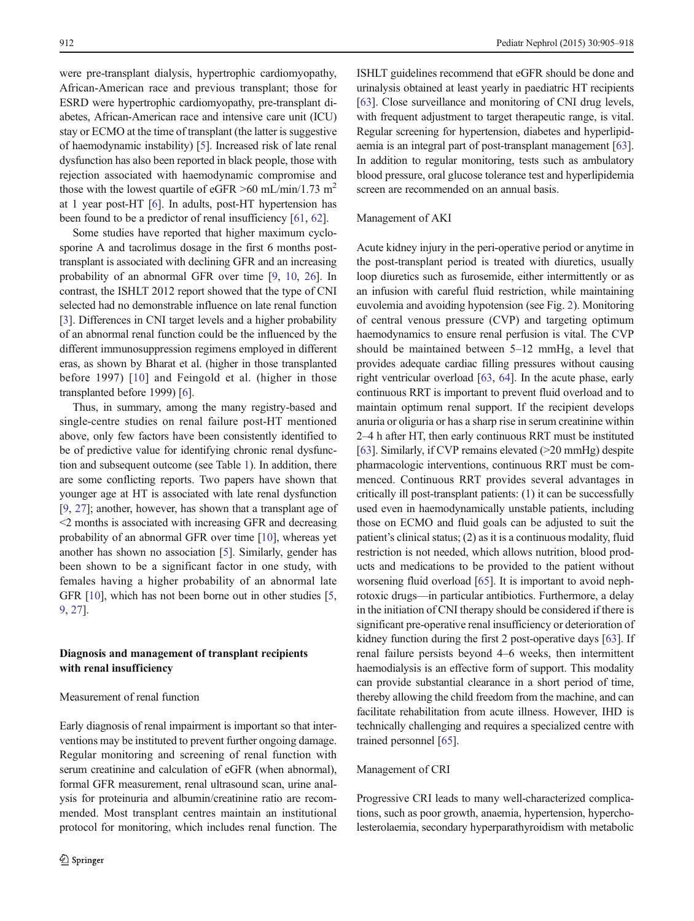were pre-transplant dialysis, hypertrophic cardiomyopathy, African-American race and previous transplant; those for ESRD were hypertrophic cardiomyopathy, pre-transplant diabetes, African-American race and intensive care unit (ICU) stay or ECMO at the time of transplant (the latter is suggestive of haemodynamic instability) [[5\]](#page-11-0). Increased risk of late renal dysfunction has also been reported in black people, those with rejection associated with haemodynamic compromise and those with the lowest quartile of eGFR  $>60$  mL/min/1.73 m<sup>2</sup> at 1 year post-HT [\[6](#page-11-0)]. In adults, post-HT hypertension has been found to be a predictor of renal insufficiency [\[61,](#page-13-0) [62\]](#page-13-0).

Some studies have reported that higher maximum cyclosporine A and tacrolimus dosage in the first 6 months posttransplant is associated with declining GFR and an increasing probability of an abnormal GFR over time [\[9](#page-11-0), [10,](#page-11-0) [26](#page-11-0)]. In contrast, the ISHLT 2012 report showed that the type of CNI selected had no demonstrable influence on late renal function [\[3](#page-11-0)]. Differences in CNI target levels and a higher probability of an abnormal renal function could be the influenced by the different immunosuppression regimens employed in different eras, as shown by Bharat et al. (higher in those transplanted before 1997) [\[10\]](#page-11-0) and Feingold et al. (higher in those transplanted before 1999) [[6](#page-11-0)].

Thus, in summary, among the many registry-based and single-centre studies on renal failure post-HT mentioned above, only few factors have been consistently identified to be of predictive value for identifying chronic renal dysfunction and subsequent outcome (see Table [1](#page-3-0)). In addition, there are some conflicting reports. Two papers have shown that younger age at HT is associated with late renal dysfunction [\[9](#page-11-0), [27](#page-12-0)]; another, however, has shown that a transplant age of <2 months is associated with increasing GFR and decreasing probability of an abnormal GFR over time [\[10](#page-11-0)], whereas yet another has shown no association [\[5](#page-11-0)]. Similarly, gender has been shown to be a significant factor in one study, with females having a higher probability of an abnormal late GFR [\[10](#page-11-0)], which has not been borne out in other studies [[5,](#page-11-0) [9,](#page-11-0) [27\]](#page-12-0).

# Diagnosis and management of transplant recipients with renal insufficiency

### Measurement of renal function

Early diagnosis of renal impairment is important so that interventions may be instituted to prevent further ongoing damage. Regular monitoring and screening of renal function with serum creatinine and calculation of eGFR (when abnormal), formal GFR measurement, renal ultrasound scan, urine analysis for proteinuria and albumin/creatinine ratio are recommended. Most transplant centres maintain an institutional protocol for monitoring, which includes renal function. The

ISHLT guidelines recommend that eGFR should be done and urinalysis obtained at least yearly in paediatric HT recipients [\[63](#page-13-0)]. Close surveillance and monitoring of CNI drug levels, with frequent adjustment to target therapeutic range, is vital. Regular screening for hypertension, diabetes and hyperlipidaemia is an integral part of post-transplant management [[63\]](#page-13-0). In addition to regular monitoring, tests such as ambulatory blood pressure, oral glucose tolerance test and hyperlipidemia screen are recommended on an annual basis.

# Management of AKI

Acute kidney injury in the peri-operative period or anytime in the post-transplant period is treated with diuretics, usually loop diuretics such as furosemide, either intermittently or as an infusion with careful fluid restriction, while maintaining euvolemia and avoiding hypotension (see Fig. [2](#page-8-0)). Monitoring of central venous pressure (CVP) and targeting optimum haemodynamics to ensure renal perfusion is vital. The CVP should be maintained between 5–12 mmHg, a level that provides adequate cardiac filling pressures without causing right ventricular overload [[63,](#page-13-0) [64](#page-13-0)]. In the acute phase, early continuous RRT is important to prevent fluid overload and to maintain optimum renal support. If the recipient develops anuria or oliguria or has a sharp rise in serum creatinine within 2–4 h after HT, then early continuous RRT must be instituted [\[63](#page-13-0)]. Similarly, if CVP remains elevated (>20 mmHg) despite pharmacologic interventions, continuous RRT must be commenced. Continuous RRT provides several advantages in critically ill post-transplant patients: (1) it can be successfully used even in haemodynamically unstable patients, including those on ECMO and fluid goals can be adjusted to suit the patient's clinical status; (2) as it is a continuous modality, fluid restriction is not needed, which allows nutrition, blood products and medications to be provided to the patient without worsening fluid overload [\[65](#page-13-0)]. It is important to avoid nephrotoxic drugs—in particular antibiotics. Furthermore, a delay in the initiation of CNI therapy should be considered if there is significant pre-operative renal insufficiency or deterioration of kidney function during the first 2 post-operative days [[63\]](#page-13-0). If renal failure persists beyond 4–6 weeks, then intermittent haemodialysis is an effective form of support. This modality can provide substantial clearance in a short period of time, thereby allowing the child freedom from the machine, and can facilitate rehabilitation from acute illness. However, IHD is technically challenging and requires a specialized centre with trained personnel [[65\]](#page-13-0).

#### Management of CRI

Progressive CRI leads to many well-characterized complications, such as poor growth, anaemia, hypertension, hypercholesterolaemia, secondary hyperparathyroidism with metabolic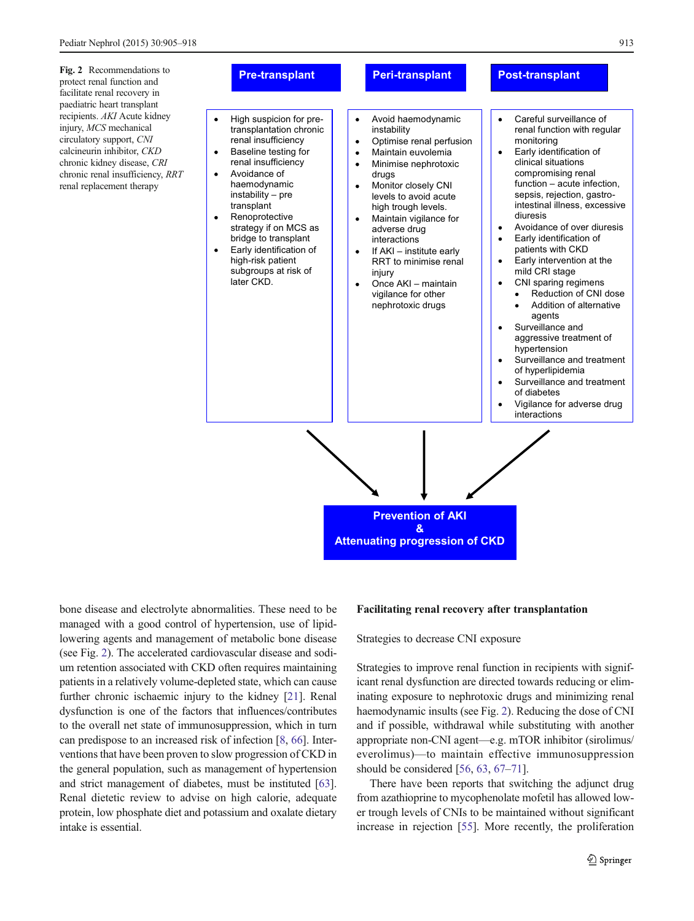<span id="page-8-0"></span>Fig. 2 Recommendations to protect renal function and facilitate renal recovery in paediatric heart transplant recipients. AKI Acute kidney injury, MCS mechanical circulatory support, CNI calcineurin inhibitor, CKD chronic kidney disease, CRI chronic renal insufficiency, RRT renal replacement therapy



bone disease and electrolyte abnormalities. These need to be managed with a good control of hypertension, use of lipidlowering agents and management of metabolic bone disease (see Fig. 2). The accelerated cardiovascular disease and sodium retention associated with CKD often requires maintaining patients in a relatively volume-depleted state, which can cause further chronic ischaemic injury to the kidney [[21\]](#page-11-0). Renal dysfunction is one of the factors that influences/contributes to the overall net state of immunosuppression, which in turn can predispose to an increased risk of infection [\[8,](#page-11-0) [66\]](#page-13-0). Interventions that have been proven to slow progression of CKD in the general population, such as management of hypertension and strict management of diabetes, must be instituted [[63\]](#page-13-0). Renal dietetic review to advise on high calorie, adequate protein, low phosphate diet and potassium and oxalate dietary intake is essential.

### Facilitating renal recovery after transplantation

Strategies to decrease CNI exposure

Strategies to improve renal function in recipients with significant renal dysfunction are directed towards reducing or eliminating exposure to nephrotoxic drugs and minimizing renal haemodynamic insults (see Fig. 2). Reducing the dose of CNI and if possible, withdrawal while substituting with another appropriate non-CNI agent—e.g. mTOR inhibitor (sirolimus/ everolimus)—to maintain effective immunosuppression should be considered [\[56](#page-12-0), [63,](#page-13-0) [67](#page-13-0)–[71](#page-13-0)].

There have been reports that switching the adjunct drug from azathioprine to mycophenolate mofetil has allowed lower trough levels of CNIs to be maintained without significant increase in rejection [\[55\]](#page-12-0). More recently, the proliferation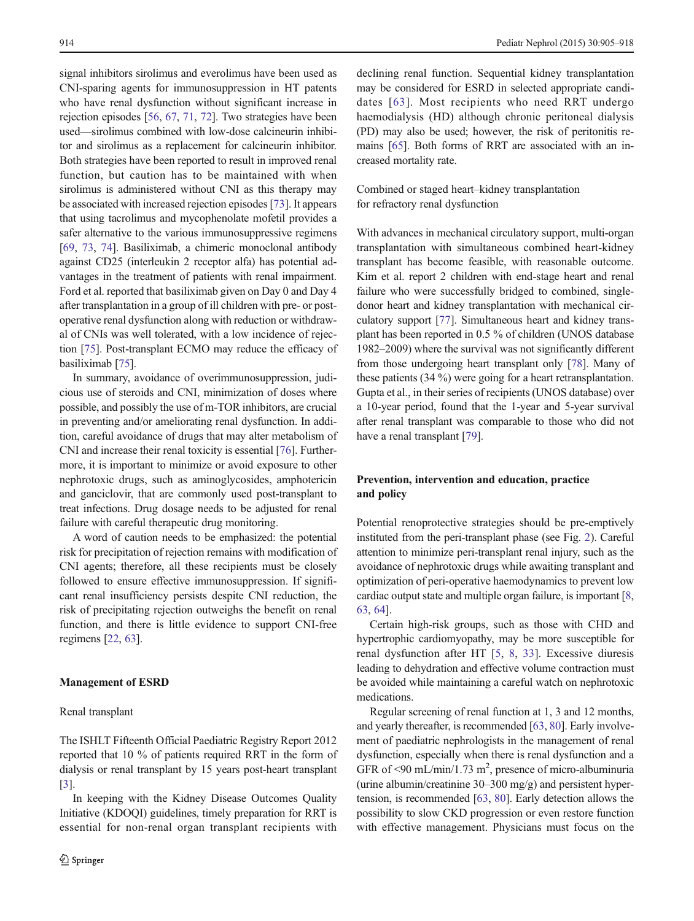signal inhibitors sirolimus and everolimus have been used as CNI-sparing agents for immunosuppression in HT patents who have renal dysfunction without significant increase in rejection episodes [[56,](#page-12-0) [67,](#page-13-0) [71,](#page-13-0) [72\]](#page-13-0). Two strategies have been used—sirolimus combined with low-dose calcineurin inhibitor and sirolimus as a replacement for calcineurin inhibitor. Both strategies have been reported to result in improved renal function, but caution has to be maintained with when sirolimus is administered without CNI as this therapy may be associated with increased rejection episodes [[73\]](#page-13-0). It appears that using tacrolimus and mycophenolate mofetil provides a safer alternative to the various immunosuppressive regimens [\[69,](#page-13-0) [73](#page-13-0), [74](#page-13-0)]. Basiliximab, a chimeric monoclonal antibody against CD25 (interleukin 2 receptor alfa) has potential advantages in the treatment of patients with renal impairment. Ford et al. reported that basiliximab given on Day 0 and Day 4 after transplantation in a group of ill children with pre- or postoperative renal dysfunction along with reduction or withdrawal of CNIs was well tolerated, with a low incidence of rejection [\[75](#page-13-0)]. Post-transplant ECMO may reduce the efficacy of basiliximab [[75\]](#page-13-0).

In summary, avoidance of overimmunosuppression, judicious use of steroids and CNI, minimization of doses where possible, and possibly the use of m-TOR inhibitors, are crucial in preventing and/or ameliorating renal dysfunction. In addition, careful avoidance of drugs that may alter metabolism of CNI and increase their renal toxicity is essential [\[76\]](#page-13-0). Furthermore, it is important to minimize or avoid exposure to other nephrotoxic drugs, such as aminoglycosides, amphotericin and ganciclovir, that are commonly used post-transplant to treat infections. Drug dosage needs to be adjusted for renal failure with careful therapeutic drug monitoring.

A word of caution needs to be emphasized: the potential risk for precipitation of rejection remains with modification of CNI agents; therefore, all these recipients must be closely followed to ensure effective immunosuppression. If significant renal insufficiency persists despite CNI reduction, the risk of precipitating rejection outweighs the benefit on renal function, and there is little evidence to support CNI-free regimens [\[22,](#page-11-0) [63\]](#page-13-0).

The ISHLT Fifteenth Official Paediatric Registry Report 2012 reported that 10 % of patients required RRT in the form of dialysis or renal transplant by 15 years post-heart transplant

#### Management of ESRD

### Renal transplant

[\[3](#page-11-0)].

declining renal function. Sequential kidney transplantation may be considered for ESRD in selected appropriate candidates [[63](#page-13-0)]. Most recipients who need RRT undergo haemodialysis (HD) although chronic peritoneal dialysis (PD) may also be used; however, the risk of peritonitis remains [\[65](#page-13-0)]. Both forms of RRT are associated with an increased mortality rate.

Combined or staged heart–kidney transplantation for refractory renal dysfunction

With advances in mechanical circulatory support, multi-organ transplantation with simultaneous combined heart-kidney transplant has become feasible, with reasonable outcome. Kim et al. report 2 children with end-stage heart and renal failure who were successfully bridged to combined, singledonor heart and kidney transplantation with mechanical circulatory support [\[77\]](#page-13-0). Simultaneous heart and kidney transplant has been reported in 0.5 % of children (UNOS database 1982–2009) where the survival was not significantly different from those undergoing heart transplant only [\[78](#page-13-0)]. Many of these patients (34 %) were going for a heart retransplantation. Gupta et al., in their series of recipients (UNOS database) over a 10-year period, found that the 1-year and 5-year survival after renal transplant was comparable to those who did not have a renal transplant [[79](#page-13-0)].

# Prevention, intervention and education, practice and policy

Potential renoprotective strategies should be pre-emptively instituted from the peri-transplant phase (see Fig. [2\)](#page-8-0). Careful attention to minimize peri-transplant renal injury, such as the avoidance of nephrotoxic drugs while awaiting transplant and optimization of peri-operative haemodynamics to prevent low cardiac output state and multiple organ failure, is important [[8,](#page-11-0) [63,](#page-13-0) [64\]](#page-13-0).

Certain high-risk groups, such as those with CHD and hypertrophic cardiomyopathy, may be more susceptible for renal dysfunction after HT [\[5](#page-11-0), [8](#page-11-0), [33\]](#page-12-0). Excessive diuresis leading to dehydration and effective volume contraction must be avoided while maintaining a careful watch on nephrotoxic medications.

Regular screening of renal function at 1, 3 and 12 months, and yearly thereafter, is recommended [[63](#page-13-0), [80\]](#page-13-0). Early involvement of paediatric nephrologists in the management of renal dysfunction, especially when there is renal dysfunction and a GFR of <90 mL/min/1.73 m<sup>2</sup>, presence of micro-albuminuria (urine albumin/creatinine 30–300 mg/g) and persistent hypertension, is recommended [\[63](#page-13-0), [80](#page-13-0)]. Early detection allows the possibility to slow CKD progression or even restore function with effective management. Physicians must focus on the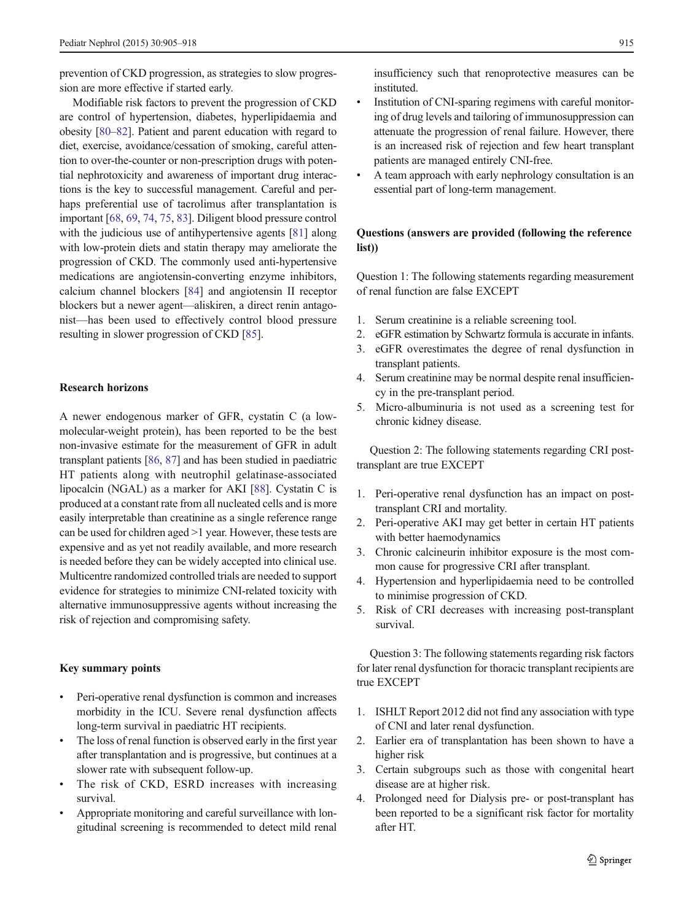prevention of CKD progression, as strategies to slow progression are more effective if started early.

Modifiable risk factors to prevent the progression of CKD are control of hypertension, diabetes, hyperlipidaemia and obesity [\[80](#page-13-0)–[82\]](#page-13-0). Patient and parent education with regard to diet, exercise, avoidance/cessation of smoking, careful attention to over-the-counter or non-prescription drugs with potential nephrotoxicity and awareness of important drug interactions is the key to successful management. Careful and perhaps preferential use of tacrolimus after transplantation is important [[68,](#page-13-0) [69](#page-13-0), [74,](#page-13-0) [75](#page-13-0), [83](#page-13-0)]. Diligent blood pressure control with the judicious use of antihypertensive agents [\[81](#page-13-0)] along with low-protein diets and statin therapy may ameliorate the progression of CKD. The commonly used anti-hypertensive medications are angiotensin-converting enzyme inhibitors, calcium channel blockers [\[84](#page-13-0)] and angiotensin II receptor blockers but a newer agent—aliskiren, a direct renin antagonist—has been used to effectively control blood pressure resulting in slower progression of CKD [[85\]](#page-13-0).

# Research horizons

A newer endogenous marker of GFR, cystatin C (a lowmolecular-weight protein), has been reported to be the best non-invasive estimate for the measurement of GFR in adult transplant patients [\[86,](#page-13-0) [87\]](#page-13-0) and has been studied in paediatric HT patients along with neutrophil gelatinase-associated lipocalcin (NGAL) as a marker for AKI [\[88\]](#page-13-0). Cystatin C is produced at a constant rate from all nucleated cells and is more easily interpretable than creatinine as a single reference range can be used for children aged >1 year. However, these tests are expensive and as yet not readily available, and more research is needed before they can be widely accepted into clinical use. Multicentre randomized controlled trials are needed to support evidence for strategies to minimize CNI-related toxicity with alternative immunosuppressive agents without increasing the risk of rejection and compromising safety.

### Key summary points

- Peri-operative renal dysfunction is common and increases morbidity in the ICU. Severe renal dysfunction affects long-term survival in paediatric HT recipients.
- & The loss of renal function is observed early in the first year after transplantation and is progressive, but continues at a slower rate with subsequent follow-up.
- The risk of CKD, ESRD increases with increasing survival.
- & Appropriate monitoring and careful surveillance with longitudinal screening is recommended to detect mild renal

insufficiency such that renoprotective measures can be instituted.

- Institution of CNI-sparing regimens with careful monitoring of drug levels and tailoring of immunosuppression can attenuate the progression of renal failure. However, there is an increased risk of rejection and few heart transplant patients are managed entirely CNI-free.
- & A team approach with early nephrology consultation is an essential part of long-term management.

# Questions (answers are provided (following the reference list))

Question 1: The following statements regarding measurement of renal function are false EXCEPT

- 1. Serum creatinine is a reliable screening tool.
- 2. eGFR estimation by Schwartz formula is accurate in infants.
- 3. eGFR overestimates the degree of renal dysfunction in transplant patients.
- 4. Serum creatinine may be normal despite renal insufficiency in the pre-transplant period.
- 5. Micro-albuminuria is not used as a screening test for chronic kidney disease.

Question 2: The following statements regarding CRI posttransplant are true EXCEPT

- 1. Peri-operative renal dysfunction has an impact on posttransplant CRI and mortality.
- 2. Peri-operative AKI may get better in certain HT patients with better haemodynamics
- 3. Chronic calcineurin inhibitor exposure is the most common cause for progressive CRI after transplant.
- 4. Hypertension and hyperlipidaemia need to be controlled to minimise progression of CKD.
- 5. Risk of CRI decreases with increasing post-transplant survival.

Question 3: The following statements regarding risk factors for later renal dysfunction for thoracic transplant recipients are true EXCEPT

- 1. ISHLT Report 2012 did not find any association with type of CNI and later renal dysfunction.
- 2. Earlier era of transplantation has been shown to have a higher risk
- 3. Certain subgroups such as those with congenital heart disease are at higher risk.
- 4. Prolonged need for Dialysis pre- or post-transplant has been reported to be a significant risk factor for mortality after HT.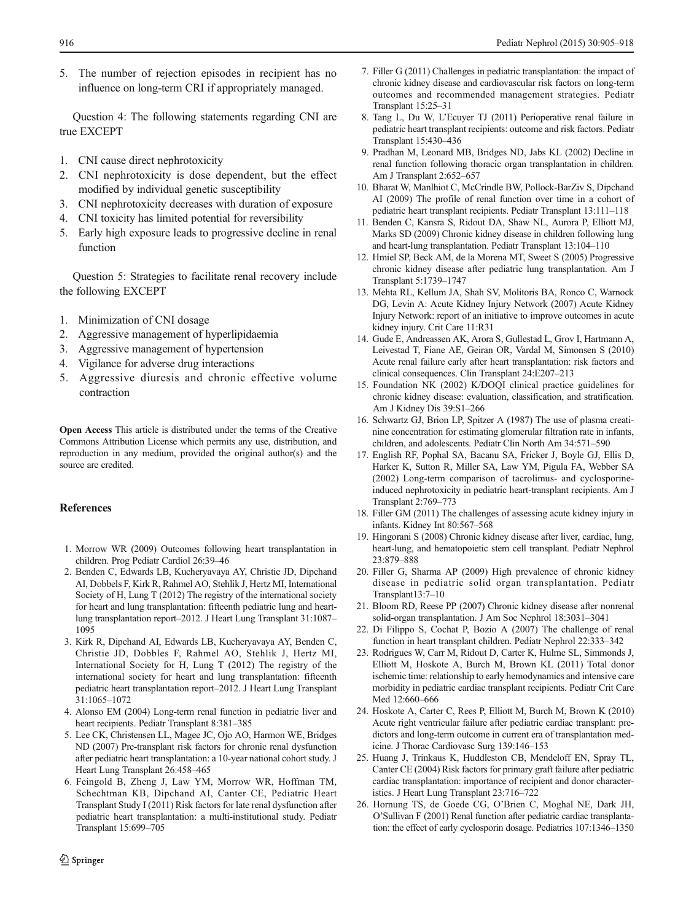<span id="page-11-0"></span>5. The number of rejection episodes in recipient has no influence on long-term CRI if appropriately managed.

Question 4: The following statements regarding CNI are true EXCEPT

- 1. CNI cause direct nephrotoxicity
- 2. CNI nephrotoxicity is dose dependent, but the effect modified by individual genetic susceptibility
- 3. CNI nephrotoxicity decreases with duration of exposure
- 4. CNI toxicity has limited potential for reversibility
- 5. Early high exposure leads to progressive decline in renal function

Question 5: Strategies to facilitate renal recovery include the following EXCEPT

- 1. Minimization of CNI dosage
- 2. Aggressive management of hyperlipidaemia
- 3. Aggressive management of hypertension
- 4. Vigilance for adverse drug interactions
- 5. Aggressive diuresis and chronic effective volume contraction

Open Access This article is distributed under the terms of the Creative Commons Attribution License which permits any use, distribution, and reproduction in any medium, provided the original author(s) and the source are credited.

# **References**

- 1. Morrow WR (2009) Outcomes following heart transplantation in children. Prog Pediatr Cardiol 26:39–46
- 2. Benden C, Edwards LB, Kucheryavaya AY, Christie JD, Dipchand AI, Dobbels F, Kirk R, Rahmel AO, Stehlik J, Hertz MI, International Society of H, Lung T (2012) The registry of the international society for heart and lung transplantation: fifteenth pediatric lung and heartlung transplantation report–2012. J Heart Lung Transplant 31:1087– 1095
- 3. Kirk R, Dipchand AI, Edwards LB, Kucheryavaya AY, Benden C, Christie JD, Dobbles F, Rahmel AO, Stehlik J, Hertz MI, International Society for H, Lung T (2012) The registry of the international society for heart and lung transplantation: fifteenth pediatric heart transplantation report–2012. J Heart Lung Transplant 31:1065–1072
- 4. Alonso EM (2004) Long-term renal function in pediatric liver and heart recipients. Pediatr Transplant 8:381–385
- 5. Lee CK, Christensen LL, Magee JC, Ojo AO, Harmon WE, Bridges ND (2007) Pre-transplant risk factors for chronic renal dysfunction after pediatric heart transplantation: a 10-year national cohort study. J Heart Lung Transplant 26:458–465
- 6. Feingold B, Zheng J, Law YM, Morrow WR, Hoffman TM, Schechtman KB, Dipchand AI, Canter CE, Pediatric Heart Transplant Study I (2011) Risk factors for late renal dysfunction after pediatric heart transplantation: a multi-institutional study. Pediatr Transplant 15:699–705
- 7. Filler G (2011) Challenges in pediatric transplantation: the impact of chronic kidney disease and cardiovascular risk factors on long-term outcomes and recommended management strategies. Pediatr Transplant 15:25–31
- 8. Tang L, Du W, L'Ecuyer TJ (2011) Perioperative renal failure in pediatric heart transplant recipients: outcome and risk factors. Pediatr Transplant 15:430–436
- 9. Pradhan M, Leonard MB, Bridges ND, Jabs KL (2002) Decline in renal function following thoracic organ transplantation in children. Am J Transplant 2:652–657
- 10. Bharat W, Manlhiot C, McCrindle BW, Pollock-BarZiv S, Dipchand AI (2009) The profile of renal function over time in a cohort of pediatric heart transplant recipients. Pediatr Transplant 13:111–118
- 11. Benden C, Kansra S, Ridout DA, Shaw NL, Aurora P, Elliott MJ, Marks SD (2009) Chronic kidney disease in children following lung and heart-lung transplantation. Pediatr Transplant 13:104–110
- 12. Hmiel SP, Beck AM, de la Morena MT, Sweet S (2005) Progressive chronic kidney disease after pediatric lung transplantation. Am J Transplant 5:1739–1747
- 13. Mehta RL, Kellum JA, Shah SV, Molitoris BA, Ronco C, Warnock DG, Levin A: Acute Kidney Injury Network (2007) Acute Kidney Injury Network: report of an initiative to improve outcomes in acute kidney injury. Crit Care 11:R31
- 14. Gude E, Andreassen AK, Arora S, Gullestad L, Grov I, Hartmann A, Leivestad T, Fiane AE, Geiran OR, Vardal M, Simonsen S (2010) Acute renal failure early after heart transplantation: risk factors and clinical consequences. Clin Transplant 24:E207–213
- 15. Foundation NK (2002) K/DOQI clinical practice guidelines for chronic kidney disease: evaluation, classification, and stratification. Am J Kidney Dis 39:S1–266
- 16. Schwartz GJ, Brion LP, Spitzer A (1987) The use of plasma creatinine concentration for estimating glomerular filtration rate in infants, children, and adolescents. Pediatr Clin North Am 34:571–590
- 17. English RF, Pophal SA, Bacanu SA, Fricker J, Boyle GJ, Ellis D, Harker K, Sutton R, Miller SA, Law YM, Pigula FA, Webber SA (2002) Long-term comparison of tacrolimus- and cyclosporineinduced nephrotoxicity in pediatric heart-transplant recipients. Am J Transplant 2:769–773
- 18. Filler GM (2011) The challenges of assessing acute kidney injury in infants. Kidney Int 80:567–568
- 19. Hingorani S (2008) Chronic kidney disease after liver, cardiac, lung, heart-lung, and hematopoietic stem cell transplant. Pediatr Nephrol 23:879–888
- 20. Filler G, Sharma AP (2009) High prevalence of chronic kidney disease in pediatric solid organ transplantation. Pediatr Transplant13:7–10
- 21. Bloom RD, Reese PP (2007) Chronic kidney disease after nonrenal solid-organ transplantation. J Am Soc Nephrol 18:3031–3041
- 22. Di Filippo S, Cochat P, Bozio A (2007) The challenge of renal function in heart transplant children. Pediatr Nephrol 22:333–342
- 23. Rodrigues W, Carr M, Ridout D, Carter K, Hulme SL, Simmonds J, Elliott M, Hoskote A, Burch M, Brown KL (2011) Total donor ischemic time: relationship to early hemodynamics and intensive care morbidity in pediatric cardiac transplant recipients. Pediatr Crit Care Med 12:660–666
- 24. Hoskote A, Carter C, Rees P, Elliott M, Burch M, Brown K (2010) Acute right ventricular failure after pediatric cardiac transplant: predictors and long-term outcome in current era of transplantation medicine. J Thorac Cardiovasc Surg 139:146–153
- 25. Huang J, Trinkaus K, Huddleston CB, Mendeloff EN, Spray TL, Canter CE (2004) Risk factors for primary graft failure after pediatric cardiac transplantation: importance of recipient and donor characteristics. J Heart Lung Transplant 23:716–722
- 26. Hornung TS, de Goede CG, O'Brien C, Moghal NE, Dark JH, O'Sullivan F (2001) Renal function after pediatric cardiac transplantation: the effect of early cyclosporin dosage. Pediatrics 107:1346–1350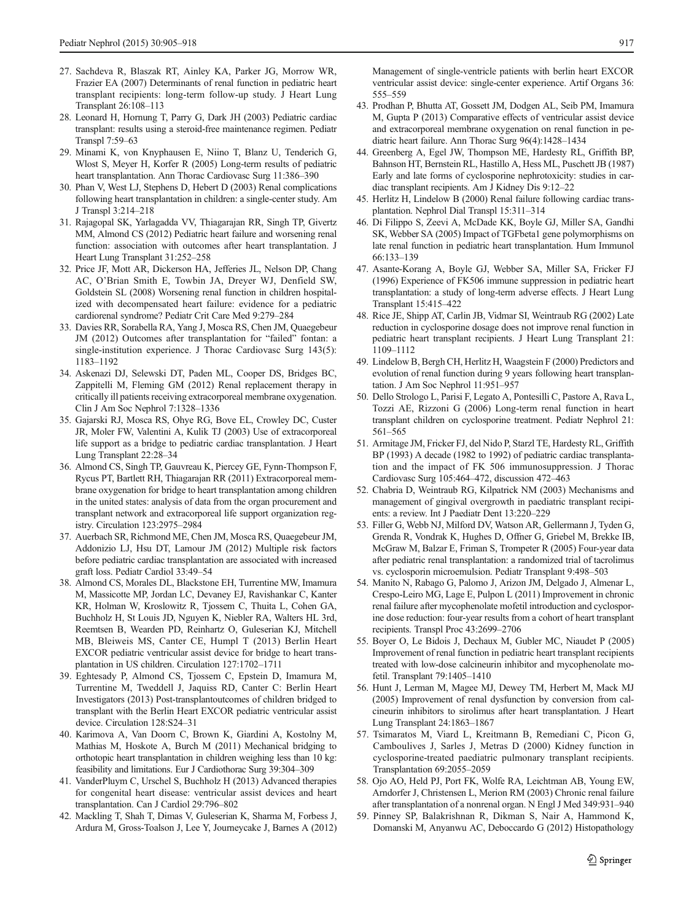- <span id="page-12-0"></span>27. Sachdeva R, Blaszak RT, Ainley KA, Parker JG, Morrow WR, Frazier EA (2007) Determinants of renal function in pediatric heart transplant recipients: long-term follow-up study. J Heart Lung Transplant 26:108–113
- 28. Leonard H, Hornung T, Parry G, Dark JH (2003) Pediatric cardiac transplant: results using a steroid-free maintenance regimen. Pediatr Transpl 7:59–63
- 29. Minami K, von Knyphausen E, Niino T, Blanz U, Tenderich G, Wlost S, Meyer H, Korfer R (2005) Long-term results of pediatric heart transplantation. Ann Thorac Cardiovasc Surg 11:386–390
- 30. Phan V, West LJ, Stephens D, Hebert D (2003) Renal complications following heart transplantation in children: a single-center study. Am J Transpl 3:214–218
- 31. Rajagopal SK, Yarlagadda VV, Thiagarajan RR, Singh TP, Givertz MM, Almond CS (2012) Pediatric heart failure and worsening renal function: association with outcomes after heart transplantation. J Heart Lung Transplant 31:252–258
- 32. Price JF, Mott AR, Dickerson HA, Jefferies JL, Nelson DP, Chang AC, O'Brian Smith E, Towbin JA, Dreyer WJ, Denfield SW, Goldstein SL (2008) Worsening renal function in children hospitalized with decompensated heart failure: evidence for a pediatric cardiorenal syndrome? Pediatr Crit Care Med 9:279–284
- 33. Davies RR, Sorabella RA, Yang J, Mosca RS, Chen JM, Quaegebeur JM (2012) Outcomes after transplantation for "failed" fontan: a single-institution experience. J Thorac Cardiovasc Surg 143(5): 1183–1192
- 34. Askenazi DJ, Selewski DT, Paden ML, Cooper DS, Bridges BC, Zappitelli M, Fleming GM (2012) Renal replacement therapy in critically ill patients receiving extracorporeal membrane oxygenation. Clin J Am Soc Nephrol 7:1328–1336
- 35. Gajarski RJ, Mosca RS, Ohye RG, Bove EL, Crowley DC, Custer JR, Moler FW, Valentini A, Kulik TJ (2003) Use of extracorporeal life support as a bridge to pediatric cardiac transplantation. J Heart Lung Transplant 22:28–34
- 36. Almond CS, Singh TP, Gauvreau K, Piercey GE, Fynn-Thompson F, Rycus PT, Bartlett RH, Thiagarajan RR (2011) Extracorporeal membrane oxygenation for bridge to heart transplantation among children in the united states: analysis of data from the organ procurement and transplant network and extracorporeal life support organization registry. Circulation 123:2975–2984
- 37. Auerbach SR, Richmond ME, Chen JM, Mosca RS, Quaegebeur JM, Addonizio LJ, Hsu DT, Lamour JM (2012) Multiple risk factors before pediatric cardiac transplantation are associated with increased graft loss. Pediatr Cardiol 33:49–54
- 38. Almond CS, Morales DL, Blackstone EH, Turrentine MW, Imamura M, Massicotte MP, Jordan LC, Devaney EJ, Ravishankar C, Kanter KR, Holman W, Kroslowitz R, Tjossem C, Thuita L, Cohen GA, Buchholz H, St Louis JD, Nguyen K, Niebler RA, Walters HL 3rd, Reemtsen B, Wearden PD, Reinhartz O, Guleserian KJ, Mitchell MB, Bleiweis MS, Canter CE, Humpl T (2013) Berlin Heart EXCOR pediatric ventricular assist device for bridge to heart transplantation in US children. Circulation 127:1702–1711
- 39. Eghtesady P, Almond CS, Tjossem C, Epstein D, Imamura M, Turrentine M, Tweddell J, Jaquiss RD, Canter C: Berlin Heart Investigators (2013) Post-transplantoutcomes of children bridged to transplant with the Berlin Heart EXCOR pediatric ventricular assist device. Circulation 128:S24–31
- 40. Karimova A, Van Doorn C, Brown K, Giardini A, Kostolny M, Mathias M, Hoskote A, Burch M (2011) Mechanical bridging to orthotopic heart transplantation in children weighing less than 10 kg: feasibility and limitations. Eur J Cardiothorac Surg 39:304–309
- 41. VanderPluym C, Urschel S, Buchholz H (2013) Advanced therapies for congenital heart disease: ventricular assist devices and heart transplantation. Can J Cardiol 29:796–802
- 42. Mackling T, Shah T, Dimas V, Guleserian K, Sharma M, Forbess J, Ardura M, Gross-Toalson J, Lee Y, Journeycake J, Barnes A (2012)

Management of single-ventricle patients with berlin heart EXCOR ventricular assist device: single-center experience. Artif Organs 36: 555–559

- 43. Prodhan P, Bhutta AT, Gossett JM, Dodgen AL, Seib PM, Imamura M, Gupta P (2013) Comparative effects of ventricular assist device and extracorporeal membrane oxygenation on renal function in pediatric heart failure. Ann Thorac Surg 96(4):1428–1434
- 44. Greenberg A, Egel JW, Thompson ME, Hardesty RL, Griffith BP, Bahnson HT, Bernstein RL, Hastillo A, Hess ML, Puschett JB (1987) Early and late forms of cyclosporine nephrotoxicity: studies in cardiac transplant recipients. Am J Kidney Dis 9:12–22
- 45. Herlitz H, Lindelow B (2000) Renal failure following cardiac transplantation. Nephrol Dial Transpl 15:311–314
- 46. Di Filippo S, Zeevi A, McDade KK, Boyle GJ, Miller SA, Gandhi SK, Webber SA (2005) Impact of TGFbeta1 gene polymorphisms on late renal function in pediatric heart transplantation. Hum Immunol 66:133–139
- 47. Asante-Korang A, Boyle GJ, Webber SA, Miller SA, Fricker FJ (1996) Experience of FK506 immune suppression in pediatric heart transplantation: a study of long-term adverse effects. J Heart Lung Transplant 15:415–422
- 48. Rice JE, Shipp AT, Carlin JB, Vidmar SI, Weintraub RG (2002) Late reduction in cyclosporine dosage does not improve renal function in pediatric heart transplant recipients. J Heart Lung Transplant 21: 1109–1112
- 49. Lindelow B, Bergh CH, Herlitz H, Waagstein F (2000) Predictors and evolution of renal function during 9 years following heart transplantation. J Am Soc Nephrol 11:951–957
- 50. Dello Strologo L, Parisi F, Legato A, Pontesilli C, Pastore A, Rava L, Tozzi AE, Rizzoni G (2006) Long-term renal function in heart transplant children on cyclosporine treatment. Pediatr Nephrol 21: 561–565
- 51. Armitage JM, Fricker FJ, del Nido P, Starzl TE, Hardesty RL, Griffith BP (1993) A decade (1982 to 1992) of pediatric cardiac transplantation and the impact of FK 506 immunosuppression. J Thorac Cardiovasc Surg 105:464–472, discussion 472–463
- 52. Chabria D, Weintraub RG, Kilpatrick NM (2003) Mechanisms and management of gingival overgrowth in paediatric transplant recipients: a review. Int J Paediatr Dent 13:220–229
- 53. Filler G, Webb NJ, Milford DV, Watson AR, Gellermann J, Tyden G, Grenda R, Vondrak K, Hughes D, Offner G, Griebel M, Brekke IB, McGraw M, Balzar E, Friman S, Trompeter R (2005) Four-year data after pediatric renal transplantation: a randomized trial of tacrolimus vs. cyclosporin microemulsion. Pediatr Transplant 9:498–503
- 54. Manito N, Rabago G, Palomo J, Arizon JM, Delgado J, Almenar L, Crespo-Leiro MG, Lage E, Pulpon L (2011) Improvement in chronic renal failure after mycophenolate mofetil introduction and cyclosporine dose reduction: four-year results from a cohort of heart transplant recipients. Transpl Proc 43:2699–2706
- 55. Boyer O, Le Bidois J, Dechaux M, Gubler MC, Niaudet P (2005) Improvement of renal function in pediatric heart transplant recipients treated with low-dose calcineurin inhibitor and mycophenolate mofetil. Transplant 79:1405–1410
- 56. Hunt J, Lerman M, Magee MJ, Dewey TM, Herbert M, Mack MJ (2005) Improvement of renal dysfunction by conversion from calcineurin inhibitors to sirolimus after heart transplantation. J Heart Lung Transplant 24:1863–1867
- 57. Tsimaratos M, Viard L, Kreitmann B, Remediani C, Picon G, Camboulives J, Sarles J, Metras D (2000) Kidney function in cyclosporine-treated paediatric pulmonary transplant recipients. Transplantation 69:2055–2059
- 58. Ojo AO, Held PJ, Port FK, Wolfe RA, Leichtman AB, Young EW, Arndorfer J, Christensen L, Merion RM (2003) Chronic renal failure after transplantation of a nonrenal organ. N Engl J Med 349:931–940
- 59. Pinney SP, Balakrishnan R, Dikman S, Nair A, Hammond K, Domanski M, Anyanwu AC, Deboccardo G (2012) Histopathology